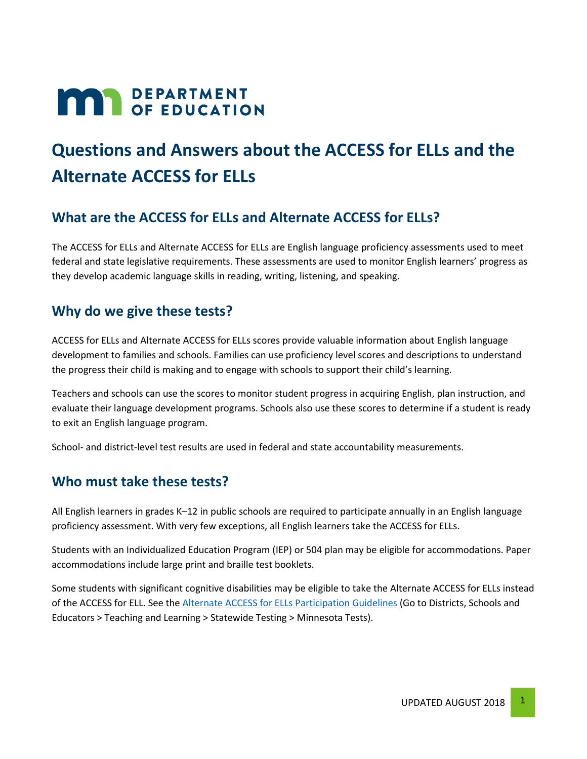# **MAR** DEPARTMENT

## **Questions and Answers about the ACCESS for ELLs and the Alternate ACCESS for ELLs**

#### **What are the ACCESS for ELLs and Alternate ACCESS for ELLs?**

The ACCESS for ELLs and Alternate ACCESS for ELLs are English language proficiency assessments used to meet federal and state legislative requirements. These assessments are used to monitor English learners' progress as they develop academic language skills in reading, writing, listening, and speaking.

#### **Why do we give these tests?**

ACCESS for ELLs and Alternate ACCESS for ELLs scores provide valuable information about English language development to families and schools. Families can use proficiency level scores and descriptions to understand the progress their child is making and to engage with schools to support their child's learning.

Teachers and schools can use the scores to monitor student progress in acquiring English, plan instruction, and evaluate their language development programs. Schools also use these scores to determine if a student is ready to exit an English language program.

School- and district-level test results are used in federal and state accountability measurements.

#### **Who must take these tests?**

All English learners in grades K–12 in public schools are required to participate annually in an English language proficiency assessment. With very few exceptions, all English learners take the ACCESS for ELLs.

Students with an Individualized Education Program (IEP) or 504 plan may be eligible for accommodations. Paper accommodations include large print and braille test booklets.

Some students with significant cognitive disabilities may be eligible to take the Alternate ACCESS for ELLs instead of the ACCESS for ELL. See the [Alternate ACCESS for ELLs Participation Guidelines](https://education.mn.gov/MDE/dse/test/mn/) (Go to Districts, Schools and Educators > Teaching and Learning > Statewide Testing > Minnesota Tests).